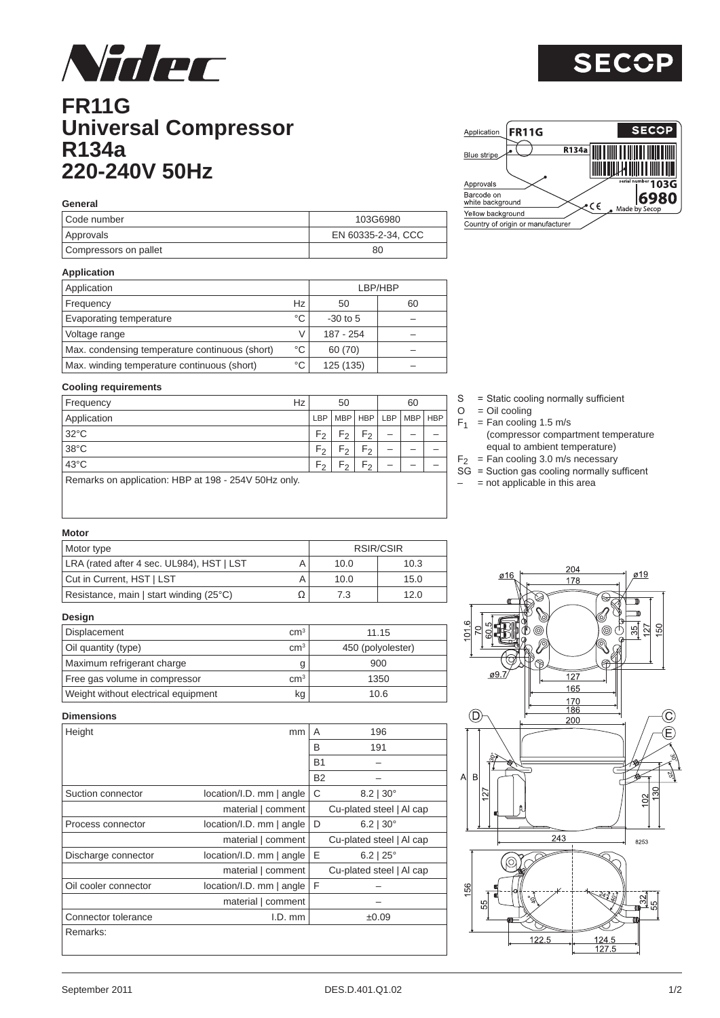

### **FR11G Universal Compressor R134a 220-240V 50Hz**

Remarks on application: HBP at 198 - 254V 50Hz only.

| General               |                    |  |  |  |  |  |  |  |  |
|-----------------------|--------------------|--|--|--|--|--|--|--|--|
| LCode number          | 103G6980           |  |  |  |  |  |  |  |  |
| Approvals             | EN 60335-2-34, CCC |  |  |  |  |  |  |  |  |
| Compressors on pallet | 80                 |  |  |  |  |  |  |  |  |

**Cooling requirements**

| Application                                    | LBP/HBP |            |    |  |  |
|------------------------------------------------|---------|------------|----|--|--|
| Frequency                                      | Hz      | 50         | 60 |  |  |
| Evaporating temperature                        | °C      | $-30$ to 5 |    |  |  |
| Voltage range                                  |         | 187 - 254  |    |  |  |
| Max. condensing temperature continuous (short) | °C      | 60 (70)    |    |  |  |
| Max. winding temperature continuous (short)    | °C      | 125 (135)  |    |  |  |

Frequency  $Hz$  50 60 Application LBP MBP HBP LBP MBP HBP HBP 32°C  $|F_2|F_2|F_1| - |-$ 38°C  $|F_2|F_2|F_1 - |-$ 43°C  $|F_2|F_2|F_1| - |-$ 

## $S = State cooling normally sufficient\nO = Oil cooling$

- $=$  Oil cooling
- $F_1$  = Fan cooling 1.5 m/s
	- (compressor compartment temperature equal to ambient temperature)
- $F_2$  = Fan cooling 3.0 m/s necessary
- SG = Suction gas cooling normally sufficent
- $-$  = not applicable in this area

#### **Motor**

| Motor type                                | RSIR/CSIR |      |      |  |  |
|-------------------------------------------|-----------|------|------|--|--|
| LRA (rated after 4 sec. UL984), HST   LST |           | 10.0 | 10.3 |  |  |
| Cut in Current, HST   LST                 |           | 10.0 | 15.0 |  |  |
| Resistance, main   start winding (25°C)   |           | 7.3  | 12.0 |  |  |

#### **Design**

| Displacement                        | cm <sup>3</sup> | 11.15             |
|-------------------------------------|-----------------|-------------------|
| Oil quantity (type)                 | cm <sup>3</sup> | 450 (polyolester) |
| Maximum refrigerant charge          |                 | 900               |
| Free gas volume in compressor       | $\rm cm^3$      | 1350              |
| Weight without electrical equipment | kg              | 10.6              |

#### **Dimensions**

| Height               | mm                          | 196<br>A                   |
|----------------------|-----------------------------|----------------------------|
|                      |                             | B<br>191                   |
|                      |                             | <b>B1</b>                  |
|                      |                             | <b>B2</b>                  |
| Suction connector    | location/I.D. mm   angle    | C<br>$8.2$   30 $^{\circ}$ |
|                      | material   comment          | Cu-plated steel   Al cap   |
| Process connector    | location/I.D. mm   angle    | D<br>$6.2$   30 $^{\circ}$ |
|                      | material   comment          | Cu-plated steel   Al cap   |
| Discharge connector  | $location/I.D.$ mm $ angle$ | Ε<br>$6.2$   25 $^{\circ}$ |
|                      | material   comment          | Cu-plated steel   Al cap   |
| Oil cooler connector | location/I.D. mm   angle    | F                          |
|                      | material   comment          |                            |
| Connector tolerance  | $I.D.$ mm                   | ±0.09                      |
| Remarks:             |                             |                            |
|                      |                             |                            |



# **SECOP**

**SECOP** 

 $103G$ 6980

I IIII OO DOOD AADIID OO DOOD OO D

| )-2-34, CCC |    |
|-------------|----|
| 80          |    |
|             |    |
| P/HBP       |    |
|             | 60 |

Approvals<br>Barcode on<br>white background

Yellow background

Country of origin or manufacturer

Application

Blue strip

 $FR11G$ 

R134a

 $\epsilon$